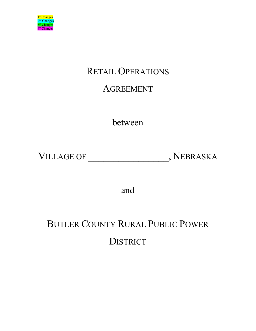

# RETAIL OPERATIONS

# AGREEMENT

between

VILLAGE OF \_\_\_\_\_\_\_\_\_\_\_\_\_\_\_\_, NEBRASKA

and

# BUTLER COUNTY RURAL PUBLIC POWER **DISTRICT**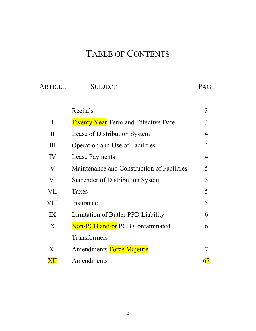# TABLE OF CONTENTS

| ARTICLE          | <b>SUBJECT</b>                             | PAGE           |
|------------------|--------------------------------------------|----------------|
|                  |                                            |                |
|                  | Recitals                                   | 3              |
| $\mathbf I$      | <b>Twenty Year</b> Term and Effective Date | 3              |
| $\prod$          | Lease of Distribution System               | $\overline{4}$ |
| Ш                | <b>Operation and Use of Facilities</b>     | $\overline{4}$ |
| IV               | <b>Lease Payments</b>                      | $\overline{4}$ |
| V                | Maintenance and Construction of Facilities | 5              |
| VI               | Surrender of Distribution System           | 5              |
| VII              | Taxes                                      | 5              |
| VIII             | Insurance                                  | 5              |
| IX               | Limitation of Butler PPD Liability         | 6              |
| $\boldsymbol{X}$ | Non-PCB and/or PCB Contaminated            | 6              |
|                  | Transformers                               |                |
| XI               | <b>Amendments Force Majeure</b>            | 7              |
| XП               | Amendments                                 |                |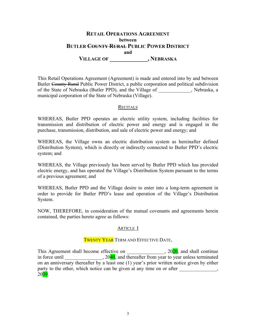# **RETAIL OPERATIONS AGREEMENT between BUTLER COUNTY RURAL PUBLIC POWER DISTRICT and VILLAGE OF \_\_\_\_\_\_\_\_\_\_\_\_\_, NEBRASKA**

This Retail Operations Agreement (Agreement) is made and entered into by and between Butler County Rural Public Power District, a public corporation and political subdivision of the State of Nebraska (Butler PPD), and the Village of \_\_\_\_\_\_\_\_\_\_\_\_\_, Nebraska, a municipal corporation of the State of Nebraska (Village).

# **RECITALS**

WHEREAS, Butler PPD operates an electric utility system, including facilities for transmission and distribution of electric power and energy and is engaged in the purchase, transmission, distribution, and sale of electric power and energy; and

WHEREAS, the Village owns an electric distribution system as hereinafter defined (Distribution System), which is directly or indirectly connected to Butler PPD's electric system; and

WHEREAS, the Village previously has been served by Butler PPD which has provided electric energy, and has operated the Village's Distribution System pursuant to the terms of a previous agreement; and

WHEREAS, Butler PPD and the Village desire to enter into a long-term agreement in order to provide for Butler PPD's lease and operation of the Village's Distribution System.

NOW, THEREFORE, in consideration of the mutual covenants and agreements herein contained, the parties hereto agree as follows:

# ARTICLE I

# TWENTY YEAR TERM AND EFFECTIVE DATE,

This Agreement shall become effective on \_\_\_\_\_\_\_\_\_\_\_\_\_\_\_, 2020, and shall continue in force until  $\qquad \qquad .2040$ , and thereafter from year to year unless terminated on an anniversary thereafter by a least one (1) year's prior written notice given by either party to the other, which notice can be given at any time on or after 2039.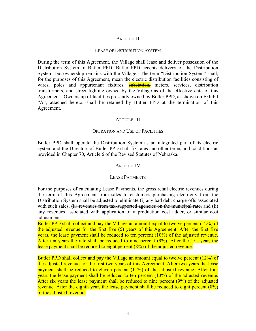## ARTICLE II

#### LEASE OF DISTRIBUTION SYSTEM

During the term of this Agreement, the Village shall lease and deliver possession of the Distribution System to Butler PPD. Butler PPD accepts delivery of the Distribution System, but ownership remains with the Village. The term "Distribution System" shall, for the purposes of this Agreement, mean the electric distribution facilities consisting of wires, poles and appurtenant fixtures, substation, meters, services, distribution transformers, and street lighting owned by the Village as of the effective date of this Agreement. Ownership of facilities presently owned by Butler PPD, as shown on Exhibit "A", attached hereto, shall be retained by Butler PPD at the termination of this Agreement.

# ARTICLE III

## OPERATION AND USE OF FACILITIES

Butler PPD shall operate the Distribution System as an integrated part of its electric system and the Directors of Butler PPD shall fix rates and other terms and conditions as provided in Chapter 70, Article 6 of the Revised Statutes of Nebraska.

## ARTICLE IV

## LEASE PAYMENTS

For the purposes of calculating Lease Payments, the gross retail electric revenues during the term of this Agreement from sales to customers purchasing electricity from the Distribution System shall be adjusted to eliminate (i) any bad debt charge-offs associated with such sales, (ii) revenues from tax-supported agencies on the municipal rate, and (ii) any revenues associated with application of a production cost adder, or similar cost adjustments.

Butler PPD shall collect and pay the Village an amount equal to twelve percent (12%) of the adjusted revenue for the first five (5) years of this Agreement. After the first five years, the lease payment shall be reduced to ten percent (10%) of the adjusted revenue. After ten years the rate shall be reduced to nine percent  $(9\%)$ . After the 15<sup>th</sup> year, the lease payment shall be reduced to eight percent (8%) of the adjusted revenue.

Butler PPD shall collect and pay the Village an amount equal to twelve percent (12%) of the adjusted revenue for the first two years of this Agreement. After two years the lease payment shall be reduced to eleven percent (11%) of the adjusted revenue. After four years the lease payment shall be reduced to ten percent (10%) of the adjusted revenue. After six years the lease payment shall be reduced to nine percent (9%) of the adjusted revenue. After the eighth year, the lease payment shall be reduced to eight percent (8%) of the adjusted revenue.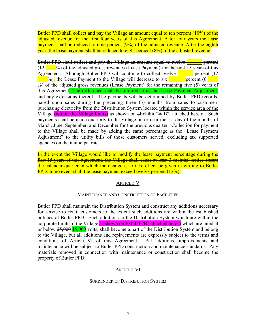Butler PPD shall collect and pay the Village an amount equal to ten percent (10%) of the adjusted revenue for the first four years of this Agreement. After four years the lease payment shall be reduced to nine percent (9%) of the adjusted revenue. After the eighth year, the lease payment shall be reduced to eight percent (8%) of the adjusted revenue.

Butler PPD shall collect and pay the Village an amount equal to twelve **the setting of** percent (12 \_\_\_\_%) of the adjusted gross revenues (Lease Payment) for the first 15 years of this Agreement. Although Butler PPD will continue to collect twelve **Figure** percent (12  $\frac{1}{2}$ %), the Lease Payment to the Village will decrease to six percent (6  $\frac{1}{2}$ %) of the adjusted gross revenues (Lease Payment) for the remaining five (5) years of this Agreement. The difference shall be referred to as the Lease Payment Adjustment. and any extensions thereof. The payments will be determined by Butler PPD records, based upon sales during the preceding three (3) months from sales to customers purchasing electricity from the Distribution System located within the service area of the Village (within the Village limits) as shown on eExhibit "A B", attached hereto. Such payments shall be made quarterly to the Village on or near the 1st day of the months of March, June, September, and December for the previous quarter. Collection for payment to the Village shall be made by adding the same percentage as the "Lease Payment Adjustment" to the utility bills of those customers served, excluding tax supported agencies on the municipal rate.

In the event the Village would like to modify the lease payment percentage during the first 15 years of this agreement, the Village shall cause at least 3 months' notice before the calendar quarter in which the change is to take effect be given in writing to Butler **PPD.** In no event shall the lease payment exceed twelve percent (12%).

## ARTICLE V

## MAINTENANCE AND CONSTRUCTION OF FACILITIES

Butler PPD shall maintain the Distribution System and construct any additions necessary for service to retail customers to the extent such additions are within the established policies of Butler PPD. Such additions to the Distribution System which are within the corporate limits of the Village as shown on Exhibit "B" attached hereto which are rated at or below  $25,000$  15,000 volts, shall become a part of the Distribution System and belong to the Village, but all additions and replacements are expressly subject to the terms and conditions of Article VI of this Agreement. All additions, improvements and maintenance will be subject to Butler PPD construction and maintenance standards. Any materials removed in connection with maintenance or construction shall become the property of Butler PPD.

# ARTICLE VI

#### SURRENDER OF DISTRIBUTION SYSTEM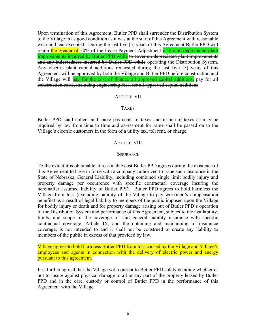Upon termination of this Agreement, Butler PPD shall surrender the Distribution System to the Village in as good condition as it was at the start of this Agreement with reasonable wear and tear excepted. During the last five (5) years of this Agreement Butler PPD will retain the greater of 50% of the Lease Payment Adjustment or the un-depreciated plant improvements incurred by Butler PPD while to cover un-depreciated plant improvements and any indebtedness incurred by Butler PPD while operating the Distribution System. Any electric plant capital additions requested during the last five (5) years of this Agreement will be approved by both the Village and Butler PPD before construction and the Village will pay for the cost of finance all approved capital additions. pay for all construction costs, including engineering fees, for all approved capital additions.

#### ARTICLE VII

## **TAXES**

Butler PPD shall collect and make payments of taxes and in-lieu-of taxes as may be required by law from time to time and assessment for same shall be passed on to the Village's electric customers in the form of a utility tax, toll rent, or charge.

#### ARTICLE VIII

#### **INSURANCE**

To the extent it is obtainable at reasonable cost Butler PPD agrees during the existence of this Agreement to have in force with a company authorized to issue such insurance in the State of Nebraska, General Liability, including combined single limit bodily injury and property damage per occurrence with specific contractual coverage insuring the hereinafter assumed liability of Butler PPD. Butler PPD agrees to hold harmless the Village from loss (excluding liability of the Village to pay workmen's compensation benefits) as a result of legal liability to members of the public imposed upon the Village for bodily injury or death and for property damage arising out of Butler PPD's operation of the Distribution System and performance of this Agreement, subject to the availability, limits, and scope of the coverage of said general liability insurance with specific contractual coverage. Article IX, and the obtaining and maintaining of insurance coverage, is not intended to and it shall not be construed to create any liability to members of the public in excess of that provided by law.

Village agrees to hold harmless Butler PPD from loss caused by the Village and Village's employees and agents in connection with the delivery of electric power and energy pursuant to this agreement.

It is further agreed that the Village will consent to Butler PPD solely deciding whether or not to insure against physical damage to all or any part of the property leased by Butler PPD and in the care, custody or control of Butler PPD in the performance of this Agreement with the Village.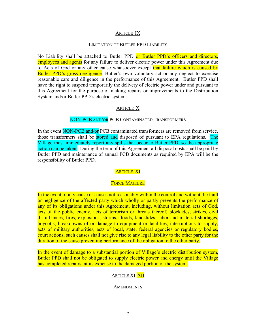# ARTICLE IX

# LIMITATION OF BUTLER PPD LIABILITY

No Liability shall be attached to Butler PPD or Butler PPD's officers and directors, employees and agents for any failure to deliver electric power under this Agreement due to Acts of God or any other cause whatsoever except that failure which is caused by Butler PPD's gross negligence. Butler's own voluntary act or any neglect to exercise reasonable care and diligence in the performance of this Agreement. Butler PPD shall have the right to suspend temporarily the delivery of electric power under and pursuant to this Agreement for the purpose of making repairs or improvements to the Distribution System and/or Butler PPD's electric system.

# ARTICLE X

# NON-PCB AND/OR PCB CONTAMINATED TRANSFORMERS

In the event **NON-PCB** and/or PCB contaminated transformers are removed from service, those transformers shall be stored and disposed of pursuant to EPA regulations. The Village must immediately report any spills that occur to Butler PPD, so the appropriate action can be taken. During the term of this Agreement all disposal costs shall be paid by Butler PPD and maintenance of annual PCB documents as required by EPA will be the responsibility of Butler PPD.

# **ARTICLE XI**

# FORCE MAJEURE

In the event of any cause or causes not reasonably within the control and without the fault or negligence of the affected party which wholly or partly prevents the performance of any of its obligations under this Agreement, including, without limitation acts of God, acts of the public enemy, acts of terrorism or threats thereof, blockades, strikes, civil disturbances, fires, explosions, storms, floods, landslides, labor and material shortages, boycotts, breakdowns of or damage to equipment or facilities, interruptions to supply, acts of military authorities, acts of local, state, federal agencies or regulatory bodies, court actions, such causes shall not give rise to any legal liability to the other party for the duration of the cause preventing performance of the obligation to the other party.

In the event of damage to a substantial portion of Village's electric distribution system, Butler PPD shall not be obligated to supply electric power and energy until the Village has completed repairs, at its expense to the damaged portion of the system.

# ARTICLE XI XII

## **AMENDMENTS**